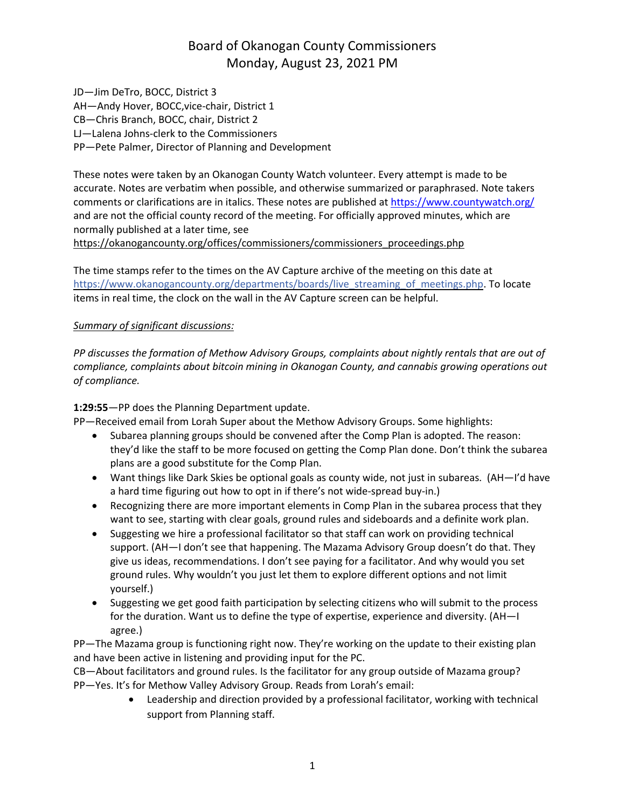JD—Jim DeTro, BOCC, District 3 AH—Andy Hover, BOCC,vice-chair, District 1 CB—Chris Branch, BOCC, chair, District 2 LJ—Lalena Johns-clerk to the Commissioners PP—Pete Palmer, Director of Planning and Development

These notes were taken by an Okanogan County Watch volunteer. Every attempt is made to be accurate. Notes are verbatim when possible, and otherwise summarized or paraphrased. Note takers comments or clarifications are in italics. These notes are published at <https://www.countywatch.org/> and are not the official county record of the meeting. For officially approved minutes, which are normally published at a later time, see [https://okanogancounty.org/offices/commissioners/commissioners\\_proceedings.php](https://okanogancounty.org/offices/commissioners/commissioners_proceedings.php)

The time stamps refer to the times on the AV Capture archive of the meeting on this date at [https://www.okanogancounty.org/departments/boards/live\\_streaming\\_of\\_meetings.php.](https://www.okanogancounty.org/departments/boards/live_streaming_of_meetings.php) To locate items in real time, the clock on the wall in the AV Capture screen can be helpful.

#### *Summary of significant discussions:*

*PP discusses the formation of Methow Advisory Groups, complaints about nightly rentals that are out of compliance, complaints about bitcoin mining in Okanogan County, and cannabis growing operations out of compliance.*

**1:29:55**—PP does the Planning Department update.

PP—Received email from Lorah Super about the Methow Advisory Groups. Some highlights:

- Subarea planning groups should be convened after the Comp Plan is adopted. The reason: they'd like the staff to be more focused on getting the Comp Plan done. Don't think the subarea plans are a good substitute for the Comp Plan.
- Want things like Dark Skies be optional goals as county wide, not just in subareas. (AH—I'd have a hard time figuring out how to opt in if there's not wide-spread buy-in.)
- Recognizing there are more important elements in Comp Plan in the subarea process that they want to see, starting with clear goals, ground rules and sideboards and a definite work plan.
- Suggesting we hire a professional facilitator so that staff can work on providing technical support. (AH—I don't see that happening. The Mazama Advisory Group doesn't do that. They give us ideas, recommendations. I don't see paying for a facilitator. And why would you set ground rules. Why wouldn't you just let them to explore different options and not limit yourself.)
- Suggesting we get good faith participation by selecting citizens who will submit to the process for the duration. Want us to define the type of expertise, experience and diversity. (AH—I agree.)

PP—The Mazama group is functioning right now. They're working on the update to their existing plan and have been active in listening and providing input for the PC.

CB—About facilitators and ground rules. Is the facilitator for any group outside of Mazama group? PP—Yes. It's for Methow Valley Advisory Group. Reads from Lorah's email:

> Leadership and direction provided by a professional facilitator, working with technical support from Planning staff.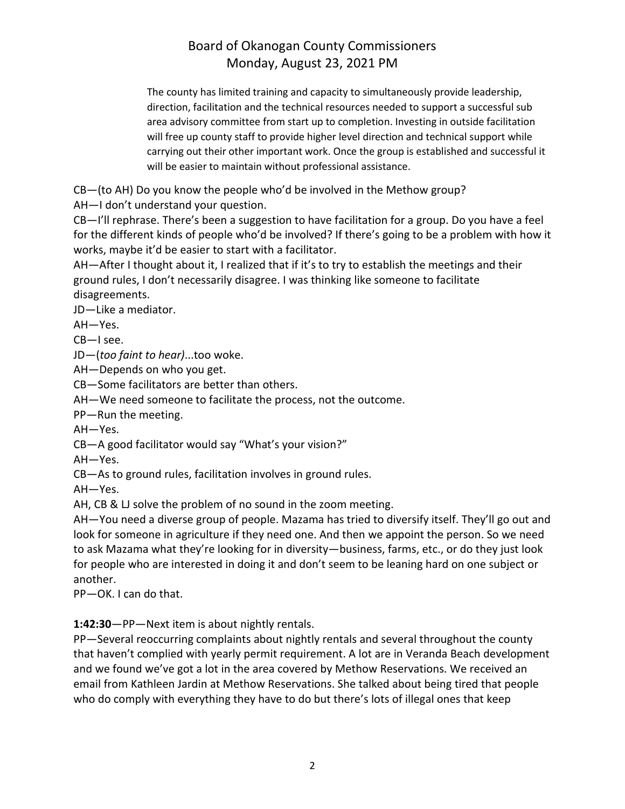The county has limited training and capacity to simultaneously provide leadership, direction, facilitation and the technical resources needed to support a successful sub area advisory committee from start up to completion. Investing in outside facilitation will free up county staff to provide higher level direction and technical support while carrying out their other important work. Once the group is established and successful it will be easier to maintain without professional assistance.

CB—(to AH) Do you know the people who'd be involved in the Methow group?

AH—I don't understand your question.

CB—I'll rephrase. There's been a suggestion to have facilitation for a group. Do you have a feel for the different kinds of people who'd be involved? If there's going to be a problem with how it works, maybe it'd be easier to start with a facilitator.

AH—After I thought about it, I realized that if it's to try to establish the meetings and their ground rules, I don't necessarily disagree. I was thinking like someone to facilitate disagreements.

JD—Like a mediator.

AH—Yes.

CB—I see.

JD—(*too faint to hear)*...too woke.

AH—Depends on who you get.

CB—Some facilitators are better than others.

AH—We need someone to facilitate the process, not the outcome.

PP—Run the meeting.

AH—Yes.

CB—A good facilitator would say "What's your vision?"

AH—Yes.

CB—As to ground rules, facilitation involves in ground rules.

AH—Yes.

AH, CB & LJ solve the problem of no sound in the zoom meeting.

AH—You need a diverse group of people. Mazama has tried to diversify itself. They'll go out and look for someone in agriculture if they need one. And then we appoint the person. So we need to ask Mazama what they're looking for in diversity—business, farms, etc., or do they just look for people who are interested in doing it and don't seem to be leaning hard on one subject or another.

PP—OK. I can do that.

**1:42:30**—PP—Next item is about nightly rentals.

PP—Several reoccurring complaints about nightly rentals and several throughout the county that haven't complied with yearly permit requirement. A lot are in Veranda Beach development and we found we've got a lot in the area covered by Methow Reservations. We received an email from Kathleen Jardin at Methow Reservations. She talked about being tired that people who do comply with everything they have to do but there's lots of illegal ones that keep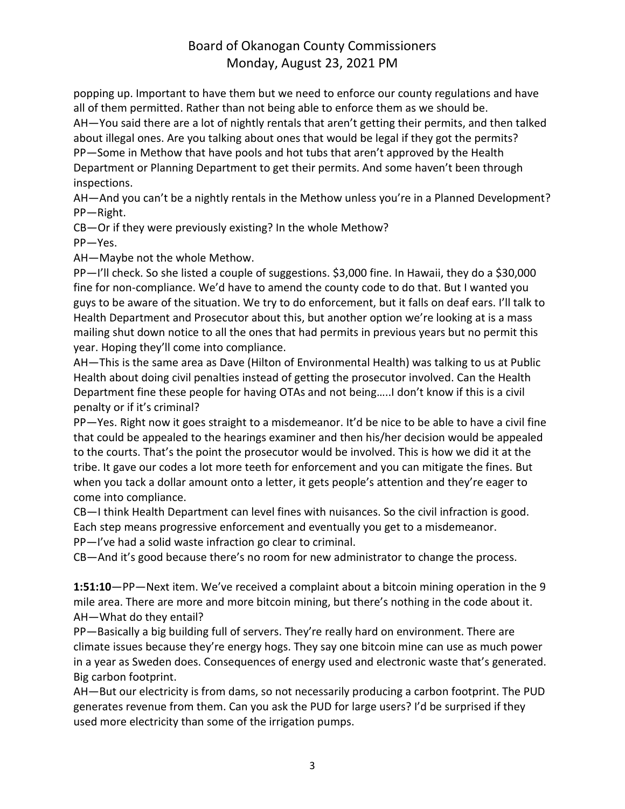popping up. Important to have them but we need to enforce our county regulations and have all of them permitted. Rather than not being able to enforce them as we should be. AH—You said there are a lot of nightly rentals that aren't getting their permits, and then talked about illegal ones. Are you talking about ones that would be legal if they got the permits? PP—Some in Methow that have pools and hot tubs that aren't approved by the Health Department or Planning Department to get their permits. And some haven't been through inspections.

AH—And you can't be a nightly rentals in the Methow unless you're in a Planned Development? PP—Right.

CB—Or if they were previously existing? In the whole Methow?

PP—Yes.

AH—Maybe not the whole Methow.

PP—I'll check. So she listed a couple of suggestions. \$3,000 fine. In Hawaii, they do a \$30,000 fine for non-compliance. We'd have to amend the county code to do that. But I wanted you guys to be aware of the situation. We try to do enforcement, but it falls on deaf ears. I'll talk to Health Department and Prosecutor about this, but another option we're looking at is a mass mailing shut down notice to all the ones that had permits in previous years but no permit this year. Hoping they'll come into compliance.

AH—This is the same area as Dave (Hilton of Environmental Health) was talking to us at Public Health about doing civil penalties instead of getting the prosecutor involved. Can the Health Department fine these people for having OTAs and not being…..I don't know if this is a civil penalty or if it's criminal?

PP—Yes. Right now it goes straight to a misdemeanor. It'd be nice to be able to have a civil fine that could be appealed to the hearings examiner and then his/her decision would be appealed to the courts. That's the point the prosecutor would be involved. This is how we did it at the tribe. It gave our codes a lot more teeth for enforcement and you can mitigate the fines. But when you tack a dollar amount onto a letter, it gets people's attention and they're eager to come into compliance.

CB—I think Health Department can level fines with nuisances. So the civil infraction is good. Each step means progressive enforcement and eventually you get to a misdemeanor. PP—I've had a solid waste infraction go clear to criminal.

CB—And it's good because there's no room for new administrator to change the process.

**1:51:10**—PP—Next item. We've received a complaint about a bitcoin mining operation in the 9 mile area. There are more and more bitcoin mining, but there's nothing in the code about it. AH—What do they entail?

PP—Basically a big building full of servers. They're really hard on environment. There are climate issues because they're energy hogs. They say one bitcoin mine can use as much power in a year as Sweden does. Consequences of energy used and electronic waste that's generated. Big carbon footprint.

AH—But our electricity is from dams, so not necessarily producing a carbon footprint. The PUD generates revenue from them. Can you ask the PUD for large users? I'd be surprised if they used more electricity than some of the irrigation pumps.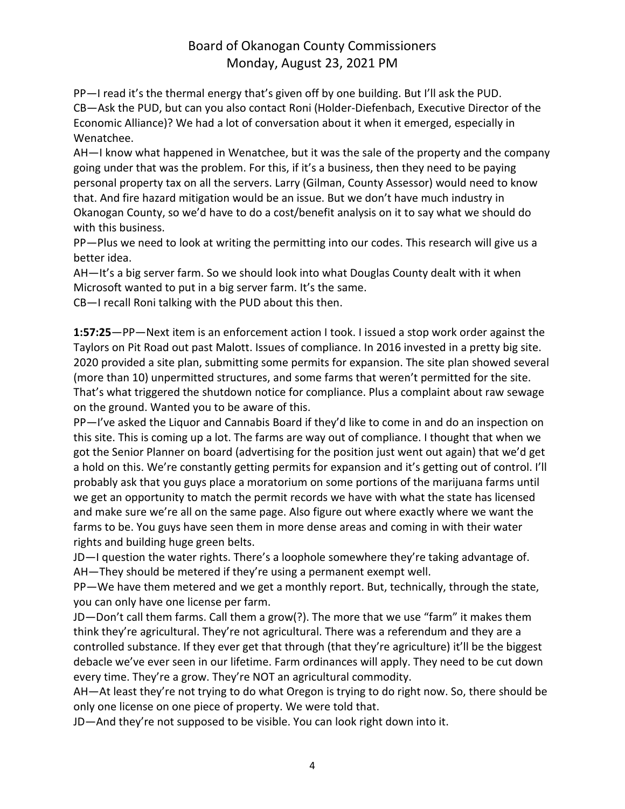PP—I read it's the thermal energy that's given off by one building. But I'll ask the PUD. CB—Ask the PUD, but can you also contact Roni (Holder-Diefenbach, Executive Director of the Economic Alliance)? We had a lot of conversation about it when it emerged, especially in Wenatchee.

AH—I know what happened in Wenatchee, but it was the sale of the property and the company going under that was the problem. For this, if it's a business, then they need to be paying personal property tax on all the servers. Larry (Gilman, County Assessor) would need to know that. And fire hazard mitigation would be an issue. But we don't have much industry in Okanogan County, so we'd have to do a cost/benefit analysis on it to say what we should do with this business.

PP—Plus we need to look at writing the permitting into our codes. This research will give us a better idea.

AH—It's a big server farm. So we should look into what Douglas County dealt with it when Microsoft wanted to put in a big server farm. It's the same.

CB—I recall Roni talking with the PUD about this then.

**1:57:25**—PP—Next item is an enforcement action I took. I issued a stop work order against the Taylors on Pit Road out past Malott. Issues of compliance. In 2016 invested in a pretty big site. 2020 provided a site plan, submitting some permits for expansion. The site plan showed several (more than 10) unpermitted structures, and some farms that weren't permitted for the site. That's what triggered the shutdown notice for compliance. Plus a complaint about raw sewage on the ground. Wanted you to be aware of this.

PP—I've asked the Liquor and Cannabis Board if they'd like to come in and do an inspection on this site. This is coming up a lot. The farms are way out of compliance. I thought that when we got the Senior Planner on board (advertising for the position just went out again) that we'd get a hold on this. We're constantly getting permits for expansion and it's getting out of control. I'll probably ask that you guys place a moratorium on some portions of the marijuana farms until we get an opportunity to match the permit records we have with what the state has licensed and make sure we're all on the same page. Also figure out where exactly where we want the farms to be. You guys have seen them in more dense areas and coming in with their water rights and building huge green belts.

JD—I question the water rights. There's a loophole somewhere they're taking advantage of. AH—They should be metered if they're using a permanent exempt well.

PP—We have them metered and we get a monthly report. But, technically, through the state, you can only have one license per farm.

JD—Don't call them farms. Call them a grow(?). The more that we use "farm" it makes them think they're agricultural. They're not agricultural. There was a referendum and they are a controlled substance. If they ever get that through (that they're agriculture) it'll be the biggest debacle we've ever seen in our lifetime. Farm ordinances will apply. They need to be cut down every time. They're a grow. They're NOT an agricultural commodity.

AH—At least they're not trying to do what Oregon is trying to do right now. So, there should be only one license on one piece of property. We were told that.

JD—And they're not supposed to be visible. You can look right down into it.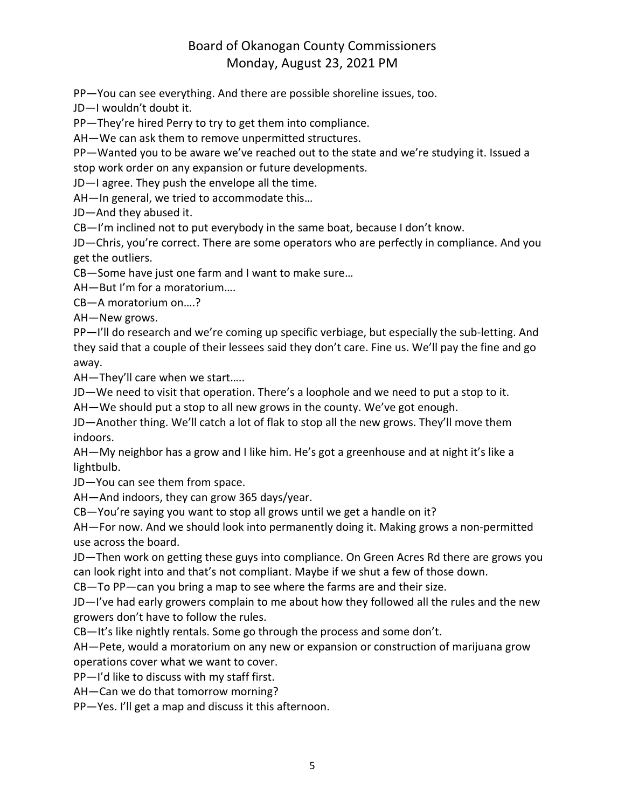PP—You can see everything. And there are possible shoreline issues, too.

JD—I wouldn't doubt it.

PP—They're hired Perry to try to get them into compliance.

AH—We can ask them to remove unpermitted structures.

PP—Wanted you to be aware we've reached out to the state and we're studying it. Issued a stop work order on any expansion or future developments.

JD—I agree. They push the envelope all the time.

AH—In general, we tried to accommodate this…

JD—And they abused it.

CB—I'm inclined not to put everybody in the same boat, because I don't know.

JD—Chris, you're correct. There are some operators who are perfectly in compliance. And you get the outliers.

CB—Some have just one farm and I want to make sure…

AH—But I'm for a moratorium….

CB—A moratorium on….?

AH—New grows.

PP—I'll do research and we're coming up specific verbiage, but especially the sub-letting. And they said that a couple of their lessees said they don't care. Fine us. We'll pay the fine and go away.

AH—They'll care when we start…..

JD—We need to visit that operation. There's a loophole and we need to put a stop to it.

AH—We should put a stop to all new grows in the county. We've got enough.

JD—Another thing. We'll catch a lot of flak to stop all the new grows. They'll move them indoors.

AH—My neighbor has a grow and I like him. He's got a greenhouse and at night it's like a lightbulb.

JD—You can see them from space.

AH—And indoors, they can grow 365 days/year.

CB—You're saying you want to stop all grows until we get a handle on it?

AH—For now. And we should look into permanently doing it. Making grows a non-permitted use across the board.

JD—Then work on getting these guys into compliance. On Green Acres Rd there are grows you can look right into and that's not compliant. Maybe if we shut a few of those down.

CB—To PP—can you bring a map to see where the farms are and their size.

JD—I've had early growers complain to me about how they followed all the rules and the new growers don't have to follow the rules.

CB—It's like nightly rentals. Some go through the process and some don't.

AH—Pete, would a moratorium on any new or expansion or construction of marijuana grow operations cover what we want to cover.

PP—I'd like to discuss with my staff first.

AH—Can we do that tomorrow morning?

PP—Yes. I'll get a map and discuss it this afternoon.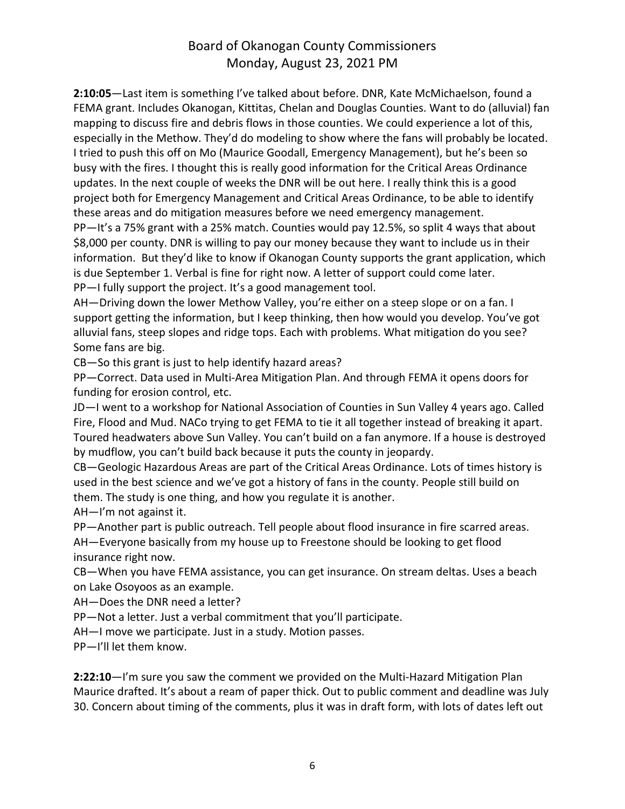**2:10:05**—Last item is something I've talked about before. DNR, Kate McMichaelson, found a FEMA grant. Includes Okanogan, Kittitas, Chelan and Douglas Counties. Want to do (alluvial) fan mapping to discuss fire and debris flows in those counties. We could experience a lot of this, especially in the Methow. They'd do modeling to show where the fans will probably be located. I tried to push this off on Mo (Maurice Goodall, Emergency Management), but he's been so busy with the fires. I thought this is really good information for the Critical Areas Ordinance updates. In the next couple of weeks the DNR will be out here. I really think this is a good project both for Emergency Management and Critical Areas Ordinance, to be able to identify these areas and do mitigation measures before we need emergency management.

PP—It's a 75% grant with a 25% match. Counties would pay 12.5%, so split 4 ways that about \$8,000 per county. DNR is willing to pay our money because they want to include us in their information. But they'd like to know if Okanogan County supports the grant application, which is due September 1. Verbal is fine for right now. A letter of support could come later. PP—I fully support the project. It's a good management tool.

AH—Driving down the lower Methow Valley, you're either on a steep slope or on a fan. I support getting the information, but I keep thinking, then how would you develop. You've got alluvial fans, steep slopes and ridge tops. Each with problems. What mitigation do you see? Some fans are big.

CB—So this grant is just to help identify hazard areas?

PP—Correct. Data used in Multi-Area Mitigation Plan. And through FEMA it opens doors for funding for erosion control, etc.

JD—I went to a workshop for National Association of Counties in Sun Valley 4 years ago. Called Fire, Flood and Mud. NACo trying to get FEMA to tie it all together instead of breaking it apart. Toured headwaters above Sun Valley. You can't build on a fan anymore. If a house is destroyed by mudflow, you can't build back because it puts the county in jeopardy.

CB—Geologic Hazardous Areas are part of the Critical Areas Ordinance. Lots of times history is used in the best science and we've got a history of fans in the county. People still build on them. The study is one thing, and how you regulate it is another.

AH—I'm not against it.

PP—Another part is public outreach. Tell people about flood insurance in fire scarred areas. AH—Everyone basically from my house up to Freestone should be looking to get flood insurance right now.

CB—When you have FEMA assistance, you can get insurance. On stream deltas. Uses a beach on Lake Osoyoos as an example.

AH—Does the DNR need a letter?

PP—Not a letter. Just a verbal commitment that you'll participate.

AH—I move we participate. Just in a study. Motion passes.

PP—I'll let them know.

**2:22:10**—I'm sure you saw the comment we provided on the Multi-Hazard Mitigation Plan Maurice drafted. It's about a ream of paper thick. Out to public comment and deadline was July 30. Concern about timing of the comments, plus it was in draft form, with lots of dates left out